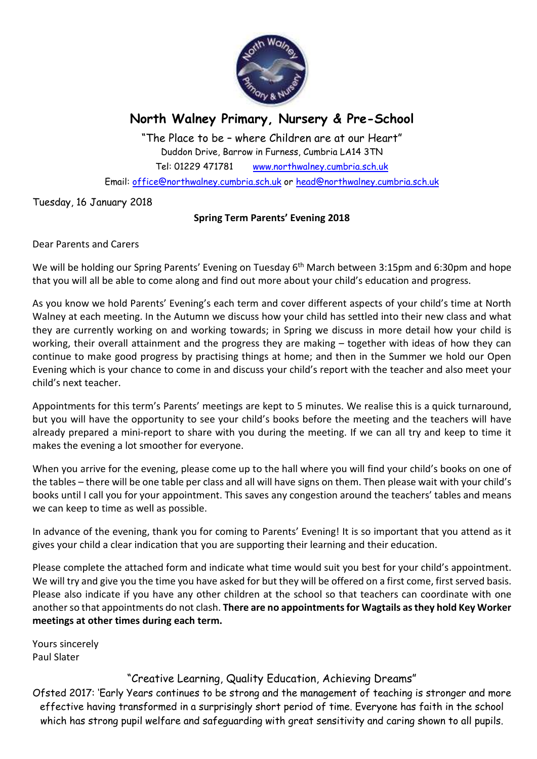

## **North Walney Primary, Nursery & Pre-School**

"The Place to be – where Children are at our Heart" Duddon Drive, Barrow in Furness, Cumbria LA14 3TN Tel: 01229 471781 www.northwalney.cumbria.sch.uk Email: office@northwalney.cumbria.sch.uk or head@northwalney.cumbria.sch.uk

Tuesday, 16 January 2018

## **Spring Term Parents' Evening 2018**

Dear Parents and Carers

We will be holding our Spring Parents' Evening on Tuesday 6<sup>th</sup> March between 3:15pm and 6:30pm and hope that you will all be able to come along and find out more about your child's education and progress.

As you know we hold Parents' Evening's each term and cover different aspects of your child's time at North Walney at each meeting. In the Autumn we discuss how your child has settled into their new class and what they are currently working on and working towards; in Spring we discuss in more detail how your child is working, their overall attainment and the progress they are making – together with ideas of how they can continue to make good progress by practising things at home; and then in the Summer we hold our Open Evening which is your chance to come in and discuss your child's report with the teacher and also meet your child's next teacher.

Appointments for this term's Parents' meetings are kept to 5 minutes. We realise this is a quick turnaround, but you will have the opportunity to see your child's books before the meeting and the teachers will have already prepared a mini-report to share with you during the meeting. If we can all try and keep to time it makes the evening a lot smoother for everyone.

When you arrive for the evening, please come up to the hall where you will find your child's books on one of the tables – there will be one table per class and all will have signs on them. Then please wait with your child's books until I call you for your appointment. This saves any congestion around the teachers' tables and means we can keep to time as well as possible.

In advance of the evening, thank you for coming to Parents' Evening! It is so important that you attend as it gives your child a clear indication that you are supporting their learning and their education.

Please complete the attached form and indicate what time would suit you best for your child's appointment. We will try and give you the time you have asked for but they will be offered on a first come, first served basis. Please also indicate if you have any other children at the school so that teachers can coordinate with one another so that appointments do not clash. **There are no appointments for Wagtails as they hold Key Worker meetings at other times during each term.**

Yours sincerely Paul Slater

## "Creative Learning, Quality Education, Achieving Dreams"

Ofsted 2017: 'Early Years continues to be strong and the management of teaching is stronger and more effective having transformed in a surprisingly short period of time. Everyone has faith in the school which has strong pupil welfare and safeguarding with great sensitivity and caring shown to all pupils.